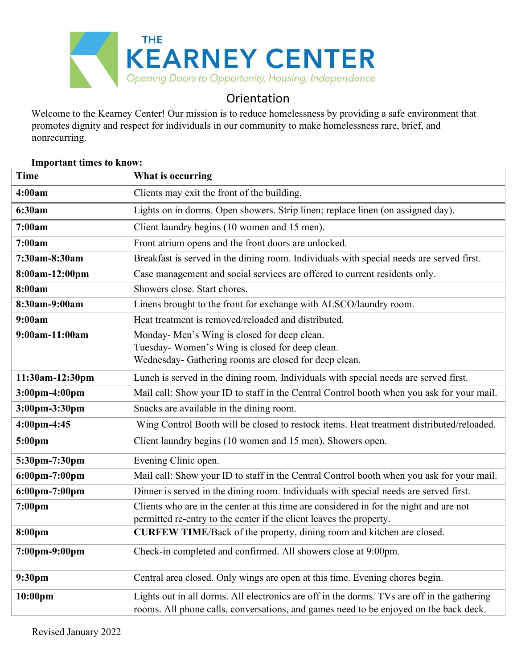

## **Orientation**

Welcome to the Kearney Center! Our mission is to reduce homelessness by providing a safe environment that promotes dignity and respect for individuals in our community to make homelessness rare, brief, and nonrecurring.

# **Time What is occurring 4:00am** Clients may exit the front of the building. **6:30am** Lights on in dorms. Open showers. Strip linen; replace linen (on assigned day). **7:00am** Client laundry begins (10 women and 15 men). **7:00am** Front atrium opens and the front doors are unlocked. **7:30am-8:30am** Breakfast is served in the dining room. Individuals with special needs are served first. **8:00am-12:00pm** Case management and social services are offered to current residents only. **8:00am** Showers close. Start chores. **8:30am-9:00am** Linens brought to the front for exchange with ALSCO/laundry room. **9:00am** Heat treatment is removed/reloaded and distributed. **9:00am-11:00am** Monday- Men's Wing is closed for deep clean. Tuesday- Women's Wing is closed for deep clean. Wednesday- Gathering rooms are closed for deep clean. **11:30am-12:30pm** Lunch is served in the dining room. Individuals with special needs are served first. **3:00pm-4:00pm** Mail call: Show your ID to staff in the Central Control booth when you ask for your mail. **3:00pm-3:30pm** Snacks are available in the dining room. **4:00pm-4:45** Wing Control Booth will be closed to restock items. Heat treatment distributed/reloaded. **5:00pm** Client laundry begins (10 women and 15 men). Showers open. **5:30pm-7:30pm** Evening Clinic open. **6:00pm-7:00pm** Mail call: Show your ID to staff in the Central Control booth when you ask for your mail. **6:00pm-7:00pm** Dinner is served in the dining room. Individuals with special needs are served first. **7:00pm** Clients who are in the center at this time are considered in for the night and are not permitted re-entry to the center if the client leaves the property. **8:00pm CURFEW TIME**/Back of the property, dining room and kitchen are closed. **7:00pm-9:00pm** Check-in completed and confirmed. All showers close at 9:00pm. **9:30pm** Central area closed. Only wings are open at this time. Evening chores begin. **10:00pm** Lights out in all dorms. All electronics are off in the dorms. TVs are off in the gathering rooms. All phone calls, conversations, and games need to be enjoyed on the back deck.

## **Important times to know:**